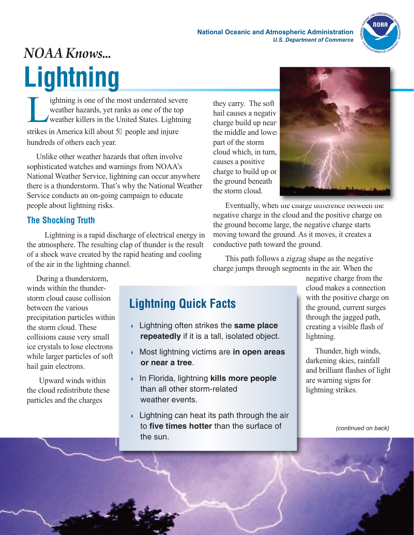

## *NOAA Knows...* **Lightning**

In ightning is one of the most underrated severe<br>weather hazards, yet ranks as one of the top<br>weather killers in the United States. Lightnin weather hazards, yet ranks as one of the top weather killers in the United States. Lightning strikes in America kill about 56 people and injure hundreds of others each year.

Unlike other weather hazards that often involve sophisticated watches and warnings from NOAA's National Weather Service, lightning can occur anywhere there is a thunderstorm. That's why the National Weather Service conducts an on-going campaign to educate people about lightning risks.

## **The Shocking Truth**

Lightning is a rapid discharge of electrical energy in the atmosphere. The resulting clap of thunder is the result of a shock wave created by the rapid heating and cooling of the air in the lightning channel.

they carry. The soft hail causes a negativ charge build up near the middle and lower part of the storm cloud which, in turn, causes a positive charge to build up on the ground beneath the storm cloud.



Eventually, when the charge difference between the negative charge in the cloud and the positive charge on the ground become large, the negative charge starts moving toward the ground. As it moves, it creates a conductive path toward the ground.

This path follows a zigzag shape as the negative charge jumps through segments in the air. When the

During a thunderstorm, winds within the thunderstorm cloud cause collision between the various precipitation particles within the storm cloud. These collisions cause very small ice crystals to lose electrons while larger particles of soft hail gain electrons.

Upward winds within the cloud redistribute these particles and the charges

## **Lightning Quick Facts**

- 4 Lightning often strikes the **same place repeatedly** if it is a tall, isolated object.
- 4 Most lightning victims are **in open areas or near a tree**.
- 4 In Florida, lightning **kills more people** than all other storm-related weather events.
- $\rightarrow$  Lightning can heat its path through the air to **five times hotter** than the surface of the sun.

negative charge from the cloud makes a connection with the positive charge on the ground, current surges through the jagged path, creating a visible flash of lightning.

Thunder, high winds, darkening skies, rainfall and brilliant flashes of light are warning signs for lightning strikes.

*(continued on back)*